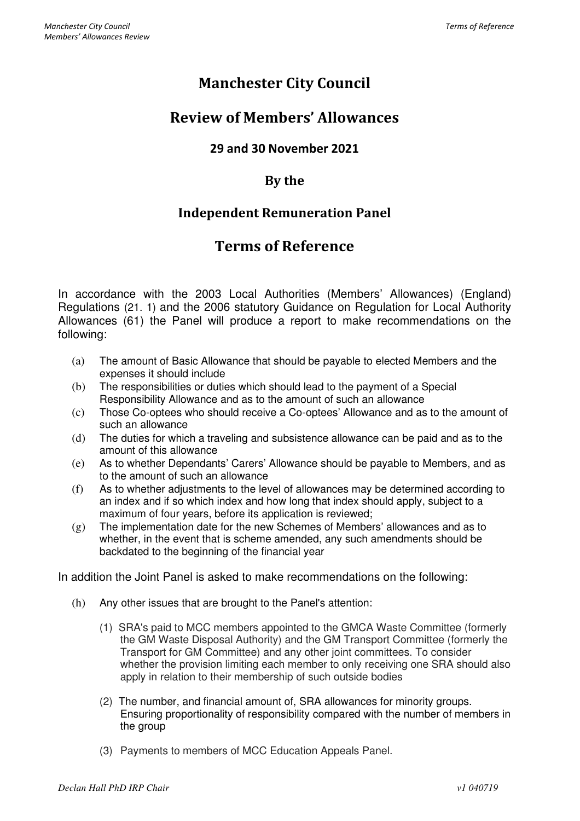# Manchester City Council

## Review of Members' Allowances

#### 29 and 30 November 2021

#### By the

### Independent Remuneration Panel

## Terms of Reference

In accordance with the 2003 Local Authorities (Members' Allowances) (England) Regulations (21. 1) and the 2006 statutory Guidance on Regulation for Local Authority Allowances (61) the Panel will produce a report to make recommendations on the following:

- (a) The amount of Basic Allowance that should be payable to elected Members and the expenses it should include
- (b) The responsibilities or duties which should lead to the payment of a Special Responsibility Allowance and as to the amount of such an allowance
- (c) Those Co-optees who should receive a Co-optees' Allowance and as to the amount of such an allowance
- (d) The duties for which a traveling and subsistence allowance can be paid and as to the amount of this allowance
- (e) As to whether Dependants' Carers' Allowance should be payable to Members, and as to the amount of such an allowance
- (f) As to whether adjustments to the level of allowances may be determined according to an index and if so which index and how long that index should apply, subject to a maximum of four years, before its application is reviewed;
- (g) The implementation date for the new Schemes of Members' allowances and as to whether, in the event that is scheme amended, any such amendments should be backdated to the beginning of the financial year

In addition the Joint Panel is asked to make recommendations on the following:

- (h) Any other issues that are brought to the Panel's attention:
	- (1) SRA's paid to MCC members appointed to the GMCA Waste Committee (formerly the GM Waste Disposal Authority) and the GM Transport Committee (formerly the Transport for GM Committee) and any other joint committees. To consider whether the provision limiting each member to only receiving one SRA should also apply in relation to their membership of such outside bodies
	- (2) The number, and financial amount of, SRA allowances for minority groups. Ensuring proportionality of responsibility compared with the number of members in the group
	- (3) Payments to members of MCC Education Appeals Panel.